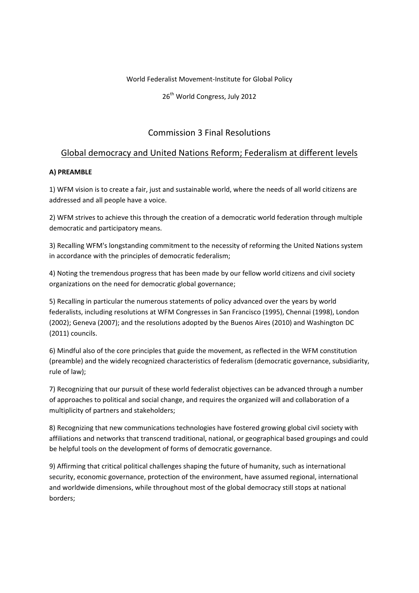## World Federalist Movement‐Institute for Global Policy

26<sup>th</sup> World Congress, July 2012

# Commission 3 Final Resolutions

## Global democracy and United Nations Reform; Federalism at different levels

## **A) PREAMBLE**

1) WFM vision is to create a fair, just and sustainable world, where the needs of all world citizens are addressed and all people have a voice.

2) WFM strives to achieve this through the creation of a democratic world federation through multiple democratic and participatory means.

3) Recalling WFM's longstanding commitment to the necessity of reforming the United Nations system in accordance with the principles of democratic federalism;

4) Noting the tremendous progress that has been made by our fellow world citizens and civil society organizations on the need for democratic global governance;

5) Recalling in particular the numerous statements of policy advanced over the years by world federalists, including resolutions at WFM Congresses in San Francisco (1995), Chennai (1998), London (2002); Geneva (2007); and the resolutions adopted by the Buenos Aires (2010) and Washington DC (2011) councils.

6) Mindful also of the core principles that guide the movement, as reflected in the WFM constitution (preamble) and the widely recognized characteristics of federalism (democratic governance, subsidiarity, rule of law);

7) Recognizing that our pursuit of these world federalist objectives can be advanced through a number of approaches to political and social change, and requires the organized will and collaboration of a multiplicity of partners and stakeholders;

8) Recognizing that new communications technologies have fostered growing global civil society with affiliations and networks that transcend traditional, national, or geographical based groupings and could be helpful tools on the development of forms of democratic governance.

9) Affirming that critical political challenges shaping the future of humanity, such as international security, economic governance, protection of the environment, have assumed regional, international and worldwide dimensions, while throughout most of the global democracy still stops at national borders;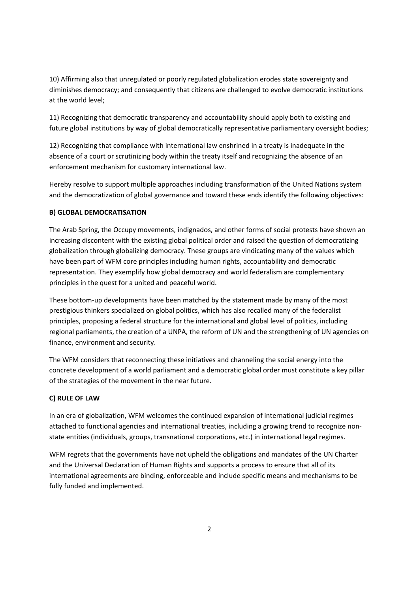10) Affirming also that unregulated or poorly regulated globalization erodes state sovereignty and diminishes democracy; and consequently that citizens are challenged to evolve democratic institutions at the world level;

11) Recognizing that democratic transparency and accountability should apply both to existing and future global institutions by way of global democratically representative parliamentary oversight bodies;

12) Recognizing that compliance with international law enshrined in a treaty is inadequate in the absence of a court or scrutinizing body within the treaty itself and recognizing the absence of an enforcement mechanism for customary international law.

Hereby resolve to support multiple approaches including transformation of the United Nations system and the democratization of global governance and toward these ends identify the following objectives:

## **B) GLOBAL DEMOCRATISATION**

The Arab Spring, the Occupy movements, indignados, and other forms of social protests have shown an increasing discontent with the existing global political order and raised the question of democratizing globalization through globalizing democracy. These groups are vindicating many of the values which have been part of WFM core principles including human rights, accountability and democratic representation. They exemplify how global democracy and world federalism are complementary principles in the quest for a united and peaceful world.

These bottom-up developments have been matched by the statement made by many of the most prestigious thinkers specialized on global politics, which has also recalled many of the federalist principles, proposing a federal structure for the international and global level of politics, including regional parliaments, the creation of a UNPA, the reform of UN and the strengthening of UN agencies on finance, environment and security.

The WFM considers that reconnecting these initiatives and channeling the social energy into the concrete development of a world parliament and a democratic global order must constitute a key pillar of the strategies of the movement in the near future.

#### **C) RULE OF LAW**

In an era of globalization, WFM welcomes the continued expansion of international judicial regimes attached to functional agencies and international treaties, including a growing trend to recognize non‐ state entities (individuals, groups, transnational corporations, etc.) in international legal regimes.

WFM regrets that the governments have not upheld the obligations and mandates of the UN Charter and the Universal Declaration of Human Rights and supports a process to ensure that all of its international agreements are binding, enforceable and include specific means and mechanisms to be fully funded and implemented.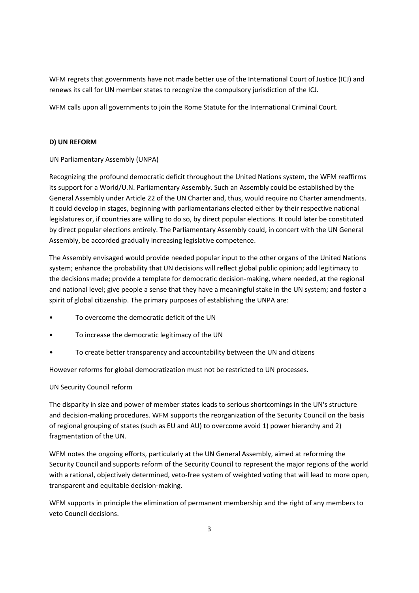WFM regrets that governments have not made better use of the International Court of Justice (ICJ) and renews its call for UN member states to recognize the compulsory jurisdiction of the ICJ.

WFM calls upon all governments to join the Rome Statute for the International Criminal Court.

## **D) UN REFORM**

## UN Parliamentary Assembly (UNPA)

Recognizing the profound democratic deficit throughout the United Nations system, the WFM reaffirms its support for a World/U.N. Parliamentary Assembly. Such an Assembly could be established by the General Assembly under Article 22 of the UN Charter and, thus, would require no Charter amendments. It could develop in stages, beginning with parliamentarians elected either by their respective national legislatures or, if countries are willing to do so, by direct popular elections. It could later be constituted by direct popular elections entirely. The Parliamentary Assembly could, in concert with the UN General Assembly, be accorded gradually increasing legislative competence.

The Assembly envisaged would provide needed popular input to the other organs of the United Nations system; enhance the probability that UN decisions will reflect global public opinion; add legitimacy to the decisions made; provide a template for democratic decision‐making, where needed, at the regional and national level; give people a sense that they have a meaningful stake in the UN system; and foster a spirit of global citizenship. The primary purposes of establishing the UNPA are:

- To overcome the democratic deficit of the UN
- To increase the democratic legitimacy of the UN
- To create better transparency and accountability between the UN and citizens

However reforms for global democratization must not be restricted to UN processes.

UN Security Council reform

The disparity in size and power of member states leads to serious shortcomings in the UN's structure and decision-making procedures. WFM supports the reorganization of the Security Council on the basis of regional grouping of states (such as EU and AU) to overcome avoid 1) power hierarchy and 2) fragmentation of the UN.

WFM notes the ongoing efforts, particularly at the UN General Assembly, aimed at reforming the Security Council and supports reform of the Security Council to represent the major regions of the world with a rational, objectively determined, veto-free system of weighted voting that will lead to more open, transparent and equitable decision‐making.

WFM supports in principle the elimination of permanent membership and the right of any members to veto Council decisions.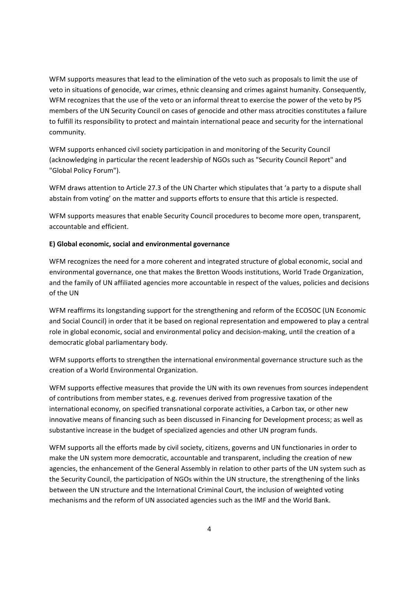WFM supports measures that lead to the elimination of the veto such as proposals to limit the use of veto in situations of genocide, war crimes, ethnic cleansing and crimes against humanity. Consequently, WFM recognizes that the use of the veto or an informal threat to exercise the power of the veto by P5 members of the UN Security Council on cases of genocide and other mass atrocities constitutes a failure to fulfill its responsibility to protect and maintain international peace and security for the international community.

WFM supports enhanced civil society participation in and monitoring of the Security Council (acknowledging in particular the recent leadership of NGOs such as "Security Council Report" and "Global Policy Forum").

WFM draws attention to Article 27.3 of the UN Charter which stipulates that 'a party to a dispute shall abstain from voting' on the matter and supports efforts to ensure that this article is respected.

WFM supports measures that enable Security Council procedures to become more open, transparent, accountable and efficient.

#### **E) Global economic, social and environmental governance**

WFM recognizes the need for a more coherent and integrated structure of global economic, social and environmental governance, one that makes the Bretton Woods institutions, World Trade Organization, and the family of UN affiliated agencies more accountable in respect of the values, policies and decisions of the UN

WFM reaffirms its longstanding support for the strengthening and reform of the ECOSOC (UN Economic and Social Council) in order that it be based on regional representation and empowered to play a central role in global economic, social and environmental policy and decision-making, until the creation of a democratic global parliamentary body.

WFM supports efforts to strengthen the international environmental governance structure such as the creation of a World Environmental Organization.

WFM supports effective measures that provide the UN with its own revenues from sources independent of contributions from member states, e.g. revenues derived from progressive taxation of the international economy, on specified transnational corporate activities, a Carbon tax, or other new innovative means of financing such as been discussed in Financing for Development process; as well as substantive increase in the budget of specialized agencies and other UN program funds.

WFM supports all the efforts made by civil society, citizens, governs and UN functionaries in order to make the UN system more democratic, accountable and transparent, including the creation of new agencies, the enhancement of the General Assembly in relation to other parts of the UN system such as the Security Council, the participation of NGOs within the UN structure, the strengthening of the links between the UN structure and the International Criminal Court, the inclusion of weighted voting mechanisms and the reform of UN associated agencies such as the IMF and the World Bank.